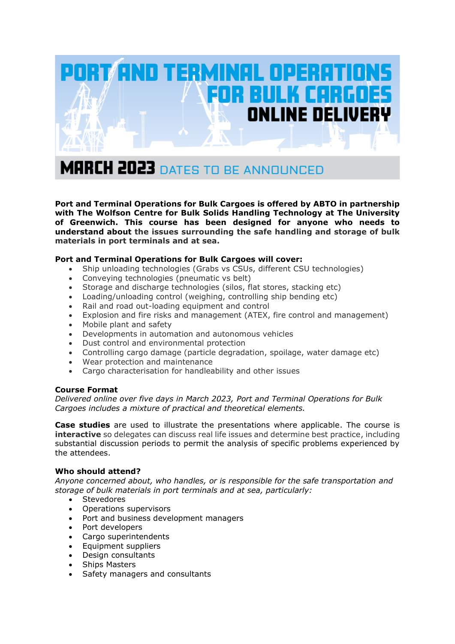

**Port and Terminal Operations for Bulk Cargoes is offered by ABTO in partnership with The Wolfson Centre for Bulk Solids Handling Technology at The University of Greenwich. This course has been designed for anyone who needs to understand about the issues surrounding the safe handling and storage of bulk materials in port terminals and at sea.**

# **Port and Terminal Operations for Bulk Cargoes will cover:**

- Ship unloading technologies (Grabs vs CSUs, different CSU technologies)
- Conveying technologies (pneumatic vs belt)
- Storage and discharge technologies (silos, flat stores, stacking etc)
- Loading/unloading control (weighing, controlling ship bending etc)
- Rail and road out-loading equipment and control
- Explosion and fire risks and management (ATEX, fire control and management)
- Mobile plant and safety
- Developments in automation and autonomous vehicles
- Dust control and environmental protection
- Controlling cargo damage (particle degradation, spoilage, water damage etc)
- Wear protection and maintenance
- Cargo characterisation for handleability and other issues

# **Course Format**

*Delivered online over five days in March 2023, Port and Terminal Operations for Bulk Cargoes includes a mixture of practical and theoretical elements.*

**Case studies** are used to illustrate the presentations where applicable. The course is **interactive** so delegates can discuss real life issues and determine best practice, including substantial discussion periods to permit the analysis of specific problems experienced by the attendees.

# **Who should attend?**

*Anyone concerned about, who handles, or is responsible for the safe transportation and storage of bulk materials in port terminals and at sea, particularly:* 

- **Stevedores**
- Operations supervisors
- Port and business development managers
- Port developers
- Cargo superintendents
- Equipment suppliers
- Design consultants
- Ships Masters
- Safety managers and consultants